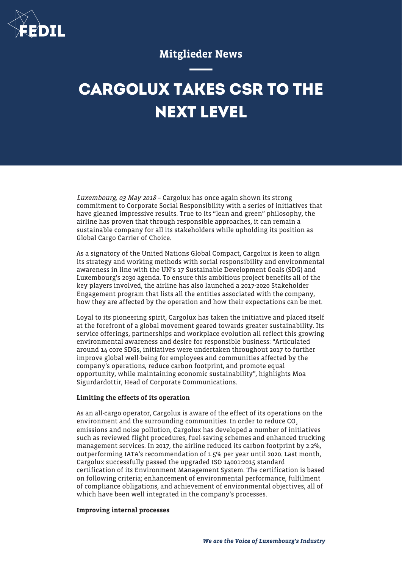

## Mitglieder News

# **CARGOLUX TAKES CSR TO THE NEXT LEVEL**

Luxembourg, 03 May 2018 – Cargolux has once again shown its strong commitment to Corporate Social Responsibility with a series of initiatives that have gleaned impressive results. True to its "lean and green" philosophy, the airline has proven that through responsible approaches, it can remain a sustainable company for all its stakeholders while upholding its position as Global Cargo Carrier of Choice.

As a signatory of the United Nations Global Compact, Cargolux is keen to align its strategy and working methods with social responsibility and environmental awareness in line with the UN's 17 Sustainable Development Goals (SDG) and Luxembourg's 2030 agenda. To ensure this ambitious project benefits all of the key players involved, the airline has also launched a 2017-2020 Stakeholder Engagement program that lists all the entities associated with the company, how they are affected by the operation and how their expectations can be met.

Loyal to its pioneering spirit, Cargolux has taken the initiative and placed itself at the forefront of a global movement geared towards greater sustainability. Its service offerings, partnerships and workplace evolution all reflect this growing environmental awareness and desire for responsible business: "Articulated around 14 core SDGs, initiatives were undertaken throughout 2017 to further improve global well-being for employees and communities affected by the company's operations, reduce carbon footprint, and promote equal opportunity, while maintaining economic sustainability", highlights Moa Sigurdardottir, Head of Corporate Communications.

#### Limiting the effects of its operation

As an all-cargo operator, Cargolux is aware of the effect of its operations on the environment and the surrounding communities. In order to reduce CO<sub>2</sub> emissions and noise pollution, Cargolux has developed a number of initiatives such as reviewed flight procedures, fuel-saving schemes and enhanced trucking management services. In 2017, the airline reduced its carbon footprint by 2.2%, outperforming IATA's recommendation of 1.5% per year until 2020. Last month, Cargolux successfully passed the upgraded ISO 14001:2015 standard certification of its Environment Management System. The certification is based on following criteria; enhancement of environmental performance, fulfilment of compliance obligations, and achievement of environmental objectives, all of which have been well integrated in the company's processes.

### Improving internal processes